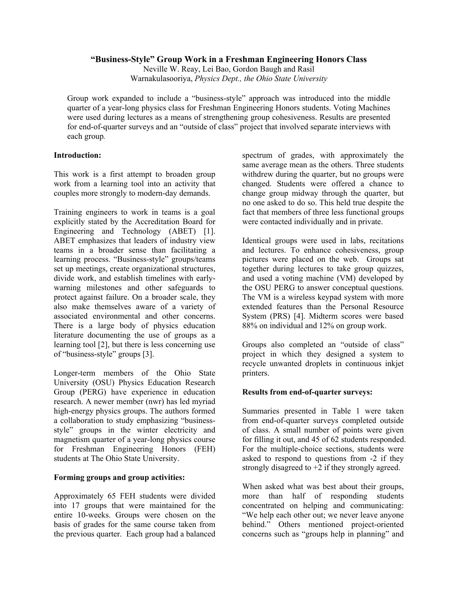### **"Business-Style" Group Work in a Freshman Engineering Honors Class**

Neville W. Reay, Lei Bao, Gordon Baugh and Rasil Warnakulasooriya, *Physics Dept., the Ohio State University* 

Group work expanded to include a "business-style" approach was introduced into the middle quarter of a year-long physics class for Freshman Engineering Honors students. Voting Machines were used during lectures as a means of strengthening group cohesiveness. Results are presented for end-of-quarter surveys and an "outside of class" project that involved separate interviews with each group*.* 

## **Introduction:**

This work is a first attempt to broaden group work from a learning tool into an activity that couples more strongly to modern-day demands.

Training engineers to work in teams is a goal explicitly stated by the Accreditation Board for Engineering and Technology (ABET) [1]. ABET emphasizes that leaders of industry view teams in a broader sense than facilitating a learning process. "Business-style" groups/teams set up meetings, create organizational structures, divide work, and establish timelines with earlywarning milestones and other safeguards to protect against failure. On a broader scale, they also make themselves aware of a variety of associated environmental and other concerns. There is a large body of physics education literature documenting the use of groups as a learning tool [2], but there is less concerning use of "business-style" groups [3].

Longer-term members of the Ohio State University (OSU) Physics Education Research Group (PERG) have experience in education research. A newer member (nwr) has led myriad high-energy physics groups. The authors formed a collaboration to study emphasizing "businessstyle" groups in the winter electricity and magnetism quarter of a year-long physics course for Freshman Engineering Honors (FEH) students at The Ohio State University.

## **Forming groups and group activities:**

Approximately 65 FEH students were divided into 17 groups that were maintained for the entire 10-weeks. Groups were chosen on the basis of grades for the same course taken from the previous quarter. Each group had a balanced

spectrum of grades, with approximately the same average mean as the others. Three students withdrew during the quarter, but no groups were changed. Students were offered a chance to change group midway through the quarter, but no one asked to do so. This held true despite the fact that members of three less functional groups were contacted individually and in private.

Identical groups were used in labs, recitations and lectures. To enhance cohesiveness, group pictures were placed on the web. Groups sat together during lectures to take group quizzes, and used a voting machine (VM) developed by the OSU PERG to answer conceptual questions. The VM is a wireless keypad system with more extended features than the Personal Resource System (PRS) [4]. Midterm scores were based 88% on individual and 12% on group work.

Groups also completed an "outside of class" project in which they designed a system to recycle unwanted droplets in continuous inkjet printers.

## **Results from end-of-quarter surveys:**

Summaries presented in Table 1 were taken from end-of-quarter surveys completed outside of class. A small number of points were given for filling it out, and 45 of 62 students responded. For the multiple-choice sections, students were asked to respond to questions from -2 if they strongly disagreed to  $+2$  if they strongly agreed.

When asked what was best about their groups, more than half of responding students concentrated on helping and communicating: "We help each other out; we never leave anyone behind." Others mentioned project-oriented concerns such as "groups help in planning" and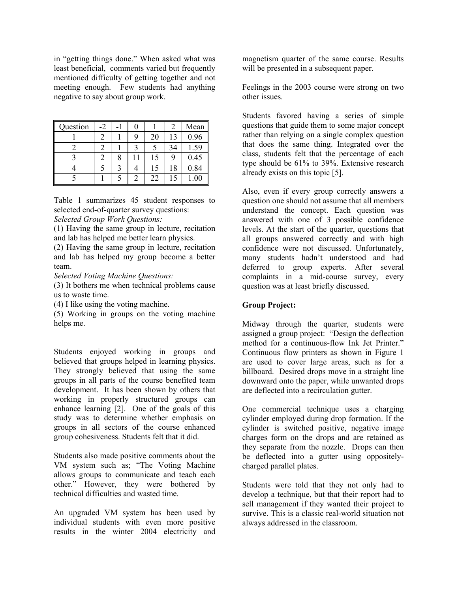in "getting things done." When asked what was least beneficial, comments varied but frequently mentioned difficulty of getting together and not meeting enough. Few students had anything negative to say about group work.

| Question | -2 |   |   |    |    | Mean |
|----------|----|---|---|----|----|------|
|          |    |   | q | 20 | 13 | 0.96 |
|          |    |   |   |    | 34 | 1.59 |
|          |    | 8 |   | 15 |    | 0.45 |
|          |    |   |   | 15 | 18 | 0.84 |
|          |    |   |   | 22 |    | 1.00 |

Table 1 summarizes 45 student responses to selected end-of-quarter survey questions:

# *Selected Group Work Questions:*

(1) Having the same group in lecture, recitation and lab has helped me better learn physics.

(2) Having the same group in lecture, recitation and lab has helped my group become a better team.

*Selected Voting Machine Questions:* 

(3) It bothers me when technical problems cause us to waste time.

(4) I like using the voting machine.

(5) Working in groups on the voting machine helps me.

Students enjoyed working in groups and believed that groups helped in learning physics. They strongly believed that using the same groups in all parts of the course benefited team development. It has been shown by others that working in properly structured groups can enhance learning [2]. One of the goals of this study was to determine whether emphasis on groups in all sectors of the course enhanced group cohesiveness. Students felt that it did.

Students also made positive comments about the VM system such as; "The Voting Machine allows groups to communicate and teach each other." However, they were bothered by technical difficulties and wasted time.

An upgraded VM system has been used by individual students with even more positive results in the winter 2004 electricity and magnetism quarter of the same course. Results will be presented in a subsequent paper.

Feelings in the 2003 course were strong on two other issues.

Students favored having a series of simple questions that guide them to some major concept rather than relying on a single complex question that does the same thing. Integrated over the class, students felt that the percentage of each type should be 61% to 39%. Extensive research already exists on this topic [5].

Also, even if every group correctly answers a question one should not assume that all members understand the concept. Each question was answered with one of 3 possible confidence levels. At the start of the quarter, questions that all groups answered correctly and with high confidence were not discussed. Unfortunately, many students hadn't understood and had deferred to group experts. After several complaints in a mid-course survey, every question was at least briefly discussed.

### **Group Project:**

Midway through the quarter, students were assigned a group project: "Design the deflection method for a continuous-flow Ink Jet Printer." Continuous flow printers as shown in Figure 1 are used to cover large areas, such as for a billboard. Desired drops move in a straight line downward onto the paper, while unwanted drops are deflected into a recirculation gutter.

One commercial technique uses a charging cylinder employed during drop formation. If the cylinder is switched positive, negative image charges form on the drops and are retained as they separate from the nozzle. Drops can then be deflected into a gutter using oppositelycharged parallel plates.

Students were told that they not only had to develop a technique, but that their report had to sell management if they wanted their project to survive. This is a classic real-world situation not always addressed in the classroom.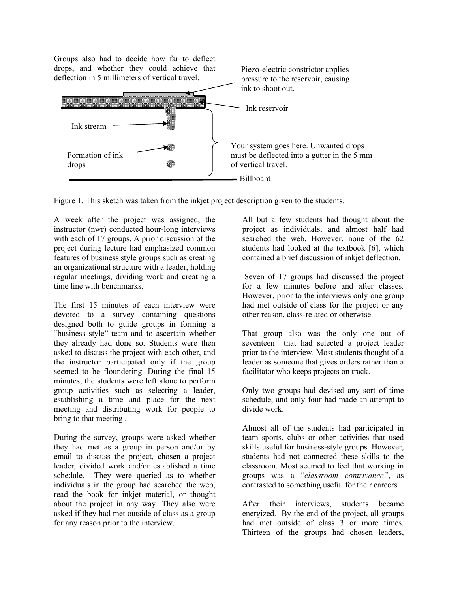Groups also had to decide how far to deflect drops, and whether they could achieve that Piezo-electric constrictor applies deflection in 5 millimeters of vertical travel. pressure to the reservoir, causing ink to shoot out. <u> Martin Martin St</u> Ink reservoir Ink stream Your system goes here. Unwanted drops Formation of ink must be deflected into a gutter in the 5 mm of vertical travel. drops Billboard

Figure 1. This sketch was taken from the inkjet project description given to the students.

A week after the project was assigned, the instructor (nwr) conducted hour-long interviews with each of 17 groups. A prior discussion of the project during lecture had emphasized common features of business style groups such as creating an organizational structure with a leader, holding regular meetings, dividing work and creating a time line with benchmarks.

The first 15 minutes of each interview were devoted to a survey containing questions designed both to guide groups in forming a "business style" team and to ascertain whether they already had done so. Students were then asked to discuss the project with each other, and the instructor participated only if the group seemed to be floundering. During the final 15 minutes, the students were left alone to perform group activities such as selecting a leader, establishing a time and place for the next meeting and distributing work for people to bring to that meeting .

During the survey, groups were asked whether they had met as a group in person and/or by email to discuss the project, chosen a project leader, divided work and/or established a time schedule. They were queried as to whether individuals in the group had searched the web, read the book for inkjet material, or thought about the project in any way. They also were asked if they had met outside of class as a group for any reason prior to the interview.

All but a few students had thought about the project as individuals, and almost half had searched the web. However, none of the 62 students had looked at the textbook [6], which contained a brief discussion of inkjet deflection.

 Seven of 17 groups had discussed the project for a few minutes before and after classes. However, prior to the interviews only one group had met outside of class for the project or any other reason, class-related or otherwise.

That group also was the only one out of seventeen that had selected a project leader prior to the interview. Most students thought of a leader as someone that gives orders rather than a facilitator who keeps projects on track.

Only two groups had devised any sort of time schedule, and only four had made an attempt to divide work.

Almost all of the students had participated in team sports, clubs or other activities that used skills useful for business-style groups. However, students had not connected these skills to the classroom. Most seemed to feel that working in groups was a "*classroom contrivance"*, as contrasted to something useful for their careers.

After their interviews, students became energized. By the end of the project, all groups had met outside of class 3 or more times. Thirteen of the groups had chosen leaders,